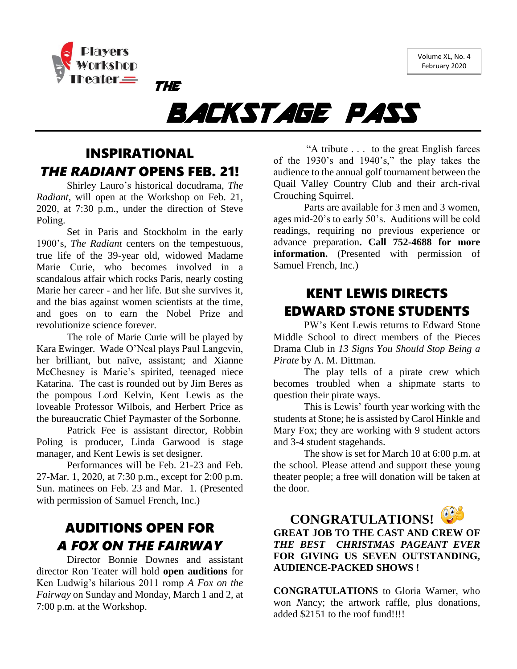Volume XL, No. 4 February 2020



# BACKSTAGE PASS

## INSPIRATIONAL *THE RADIANT* OPENS FEB. 21!

THE

Shirley Lauro's historical docudrama, *The Radiant*, will open at the Workshop on Feb. 21, 2020, at 7:30 p.m., under the direction of Steve Poling.

Set in Paris and Stockholm in the early 1900's, *The Radiant* centers on the tempestuous, true life of the 39-year old, widowed Madame Marie Curie, who becomes involved in a scandalous affair which rocks Paris, nearly costing Marie her career - and her life. But she survives it, and the bias against women scientists at the time, and goes on to earn the Nobel Prize and revolutionize science forever.

The role of Marie Curie will be played by Kara Ewinger. Wade O'Neal plays Paul Langevin, her brilliant, but naïve, assistant; and Xianne McChesney is Marie's spirited, teenaged niece Katarina. The cast is rounded out by Jim Beres as the pompous Lord Kelvin, Kent Lewis as the loveable Professor Wilbois, and Herbert Price as the bureaucratic Chief Paymaster of the Sorbonne.

Patrick Fee is assistant director, Robbin Poling is producer, Linda Garwood is stage manager, and Kent Lewis is set designer.

Performances will be Feb. 21-23 and Feb. 27-Mar. 1, 2020, at 7:30 p.m., except for 2:00 p.m. Sun. matinees on Feb. 23 and Mar. 1. (Presented with permission of Samuel French, Inc.)

### AUDITIONS OPEN FOR *A FOX ON THE FAIRWAY*

Director Bonnie Downes and assistant director Ron Teater will hold **open auditions** for Ken Ludwig's hilarious 2011 romp *A Fox on the Fairway* on Sunday and Monday, March 1 and 2, at 7:00 p.m. at the Workshop.

"A tribute . . . to the great English farces of the 1930's and 1940's," the play takes the audience to the annual golf tournament between the Quail Valley Country Club and their arch-rival Crouching Squirrel.

Parts are available for 3 men and 3 women, ages mid-20's to early 50's. Auditions will be cold readings, requiring no previous experience or advance preparation**. Call 752-4688 for more information.** (Presented with permission of Samuel French, Inc.)

#### KENT LEWIS DIRECTS EDWARD STONE STUDENTS

PW's Kent Lewis returns to Edward Stone Middle School to direct members of the Pieces Drama Club in *13 Signs You Should Stop Being a Pirate* by A. M. Dittman.

The play tells of a pirate crew which becomes troubled when a shipmate starts to question their pirate ways.

This is Lewis' fourth year working with the students at Stone; he is assisted by Carol Hinkle and Mary Fox; they are working with 9 student actors and 3-4 student stagehands.

The show is set for March 10 at 6:00 p.m. at the school. Please attend and support these young theater people; a free will donation will be taken at the door.



**CONGRATULATIONS! GREAT JOB TO THE CAST AND CREW OF**  *THE BEST CHRISTMAS PAGEANT EVER* **FOR GIVING US SEVEN OUTSTANDING, AUDIENCE-PACKED SHOWS !** 

**CONGRATULATIONS** to Gloria Warner, who won *N*ancy; the artwork raffle, plus donations, added \$2151 to the roof fund!!!!